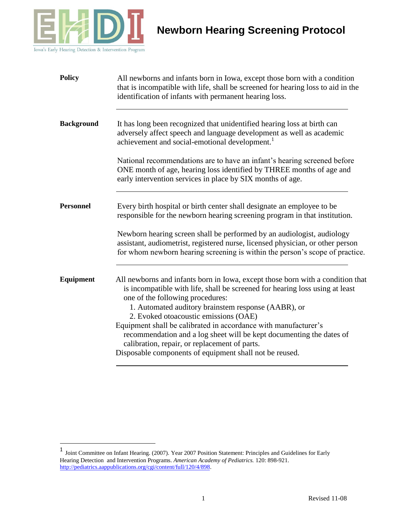

 $\overline{a}$ 

| <b>Policy</b>     | All newborns and infants born in Iowa, except those born with a condition<br>that is incompatible with life, shall be screened for hearing loss to aid in the<br>identification of infants with permanent hearing loss.                                                                            |
|-------------------|----------------------------------------------------------------------------------------------------------------------------------------------------------------------------------------------------------------------------------------------------------------------------------------------------|
| <b>Background</b> | It has long been recognized that unidentified hearing loss at birth can<br>adversely affect speech and language development as well as academic<br>achievement and social-emotional development.                                                                                                   |
|                   | National recommendations are to have an infant's hearing screened before<br>ONE month of age, hearing loss identified by THREE months of age and<br>early intervention services in place by SIX months of age.                                                                                     |
| <b>Personnel</b>  | Every birth hospital or birth center shall designate an employee to be<br>responsible for the newborn hearing screening program in that institution.                                                                                                                                               |
|                   | Newborn hearing screen shall be performed by an audiologist, audiology<br>assistant, audiometrist, registered nurse, licensed physician, or other person<br>for whom newborn hearing screening is within the person's scope of practice.                                                           |
| Equipment         | All newborns and infants born in Iowa, except those born with a condition that<br>is incompatible with life, shall be screened for hearing loss using at least<br>one of the following procedures:<br>1. Automated auditory brainstem response (AABR), or<br>2. Evoked otoacoustic emissions (OAE) |
|                   | Equipment shall be calibrated in accordance with manufacturer's<br>recommendation and a log sheet will be kept documenting the dates of<br>calibration, repair, or replacement of parts.<br>Disposable components of equipment shall not be reused.                                                |
|                   |                                                                                                                                                                                                                                                                                                    |

<sup>1</sup> Joint Committee on Infant Hearing. (2007). Year 2007 Position Statement: Principles and Guidelines for Early Hearing Detection and Intervention Programs. *American Academy of Pediatrics.* 120: 898-921. [http://pediatrics.aappublications.org/cgi/content/full/120/4/898.](http://pediatrics.aappublications.org/cgi/content/full/120/4/898)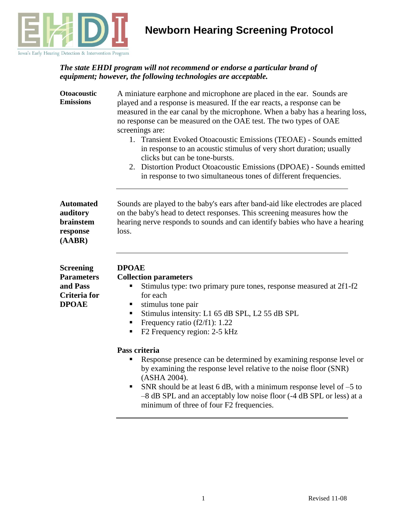

#### *The state EHDI program will not recommend or endorse a particular brand of equipment; however, the following technologies are acceptable.*

| <b>Otoacoustic</b><br><b>Emissions</b>                                     | A miniature earphone and microphone are placed in the ear. Sounds are<br>played and a response is measured. If the ear reacts, a response can be<br>measured in the ear canal by the microphone. When a baby has a hearing loss,<br>no response can be measured on the OAE test. The two types of OAE<br>screenings are:<br>1. Transient Evoked Otoacoustic Emissions (TEOAE) - Sounds emitted<br>in response to an acoustic stimulus of very short duration; usually<br>clicks but can be tone-bursts.<br>2. Distortion Product Otoacoustic Emissions (DPOAE) - Sounds emitted<br>in response to two simultaneous tones of different frequencies. |
|----------------------------------------------------------------------------|----------------------------------------------------------------------------------------------------------------------------------------------------------------------------------------------------------------------------------------------------------------------------------------------------------------------------------------------------------------------------------------------------------------------------------------------------------------------------------------------------------------------------------------------------------------------------------------------------------------------------------------------------|
| <b>Automated</b><br>auditory<br>brainstem<br>response<br>(AABR)            | Sounds are played to the baby's ears after band-aid like electrodes are placed<br>on the baby's head to detect responses. This screening measures how the<br>hearing nerve responds to sounds and can identify babies who have a hearing<br>loss.                                                                                                                                                                                                                                                                                                                                                                                                  |
| Screening<br><b>Parameters</b><br>and Pass<br>Criteria for<br><b>DPOAE</b> | <b>DPOAE</b><br><b>Collection parameters</b><br>Stimulus type: two primary pure tones, response measured at 2f1-f2<br>п<br>for each<br>stimulus tone pair<br>Stimulus intensity: L1 65 dB SPL, L2 55 dB SPL<br>Frequency ratio (f2/f1): 1.22<br>ш<br>F2 Frequency region: 2-5 kHz<br>ш                                                                                                                                                                                                                                                                                                                                                             |
|                                                                            | Pass criteria<br>Response presence can be determined by examining response level or<br>by examining the response level relative to the noise floor (SNR)<br>(ASHA 2004).<br>SNR should be at least 6 dB, with a minimum response level of $-5$ to<br>-8 dB SPL and an acceptably low noise floor (-4 dB SPL or less) at a<br>minimum of three of four F2 frequencies.                                                                                                                                                                                                                                                                              |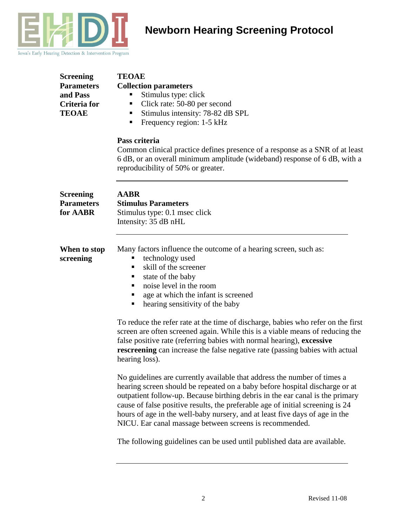

| Screening         |
|-------------------|
| <b>Parameters</b> |
| and Pass          |
| Criteria for      |
| TEOAE             |
|                   |

### **TEOAE**

#### **Collection parameters**

- **Stimulus type: click**
- Click rate: 50-80 per second
- Stimulus intensity: 78-82 dB SPL
- **Firm** Frequency region: 1-5 kHz

#### **Pass criteria**

Common clinical practice defines presence of a response as a SNR of at least 6 dB, or an overall minimum amplitude (wideband) response of 6 dB, with a reproducibility of 50% or greater.

| Screening<br><b>Parameters</b><br>for AABR | <b>AABR</b><br><b>Stimulus Parameters</b><br>Stimulus type: 0.1 msec click<br>Intensity: 35 dB nHL                                                                                                                                               |
|--------------------------------------------|--------------------------------------------------------------------------------------------------------------------------------------------------------------------------------------------------------------------------------------------------|
| When to stop<br>screening                  | Many factors influence the outcome of a hearing screen, such as:<br>technology used<br>skill of the screener<br>state of the baby<br>п<br>noise level in the room<br>age at which the infant is screened<br>hearing sensitivity of the baby<br>п |
|                                            | To reduce the refer rate at the time of discharge, babies who refer on the first<br>screen are often screened again. While this is a viable means of reducing the                                                                                |

false positive rate (referring babies with normal hearing), **excessive rescreening** can increase the false negative rate (passing babies with actual hearing loss).

No guidelines are currently available that address the number of times a hearing screen should be repeated on a baby before hospital discharge or at outpatient follow-up. Because birthing debris in the ear canal is the primary cause of false positive results, the preferable age of initial screening is 24 hours of age in the well-baby nursery, and at least five days of age in the NICU. Ear canal massage between screens is recommended.

The following guidelines can be used until published data are available.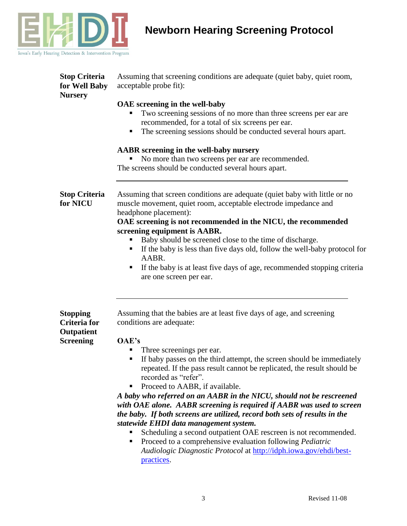

| <b>Stop Criteria</b><br>for Well Baby<br><b>Nursery</b>                  | Assuming that screening conditions are adequate (quiet baby, quiet room,<br>acceptable probe fit):                                                                                                                                                                                                                                                                                                                                                                                                                                                                                                                                                                                                                                                                                                                                                                 |
|--------------------------------------------------------------------------|--------------------------------------------------------------------------------------------------------------------------------------------------------------------------------------------------------------------------------------------------------------------------------------------------------------------------------------------------------------------------------------------------------------------------------------------------------------------------------------------------------------------------------------------------------------------------------------------------------------------------------------------------------------------------------------------------------------------------------------------------------------------------------------------------------------------------------------------------------------------|
|                                                                          | OAE screening in the well-baby<br>Two screening sessions of no more than three screens per ear are<br>recommended, for a total of six screens per ear.<br>The screening sessions should be conducted several hours apart.                                                                                                                                                                                                                                                                                                                                                                                                                                                                                                                                                                                                                                          |
|                                                                          | <b>AABR</b> screening in the well-baby nursery<br>No more than two screens per ear are recommended.<br>The screens should be conducted several hours apart.                                                                                                                                                                                                                                                                                                                                                                                                                                                                                                                                                                                                                                                                                                        |
| <b>Stop Criteria</b><br>for NICU                                         | Assuming that screen conditions are adequate (quiet baby with little or no<br>muscle movement, quiet room, acceptable electrode impedance and<br>headphone placement):<br>OAE screening is not recommended in the NICU, the recommended<br>screening equipment is AABR.<br>Baby should be screened close to the time of discharge.<br>If the baby is less than five days old, follow the well-baby protocol for<br>AABR.<br>If the baby is at least five days of age, recommended stopping criteria<br>п<br>are one screen per ear.                                                                                                                                                                                                                                                                                                                                |
| <b>Stopping</b><br><b>Criteria</b> for<br>Outpatient<br><b>Screening</b> | Assuming that the babies are at least five days of age, and screening<br>conditions are adequate:<br>OAE's<br>Three screenings per ear.<br>If baby passes on the third attempt, the screen should be immediately<br>repeated. If the pass result cannot be replicated, the result should be<br>recorded as "refer".<br>Proceed to AABR, if available.<br>Ξ<br>A baby who referred on an AABR in the NICU, should not be rescreened<br>with OAE alone. AABR screening is required if AABR was used to screen<br>the baby. If both screens are utilized, record both sets of results in the<br>statewide EHDI data management system.<br>Scheduling a second outpatient OAE rescreen is not recommended.<br>Proceed to a comprehensive evaluation following <i>Pediatric</i><br>Ξ<br>Audiologic Diagnostic Protocol at http://idph.iowa.gov/ehdi/best-<br>practices. |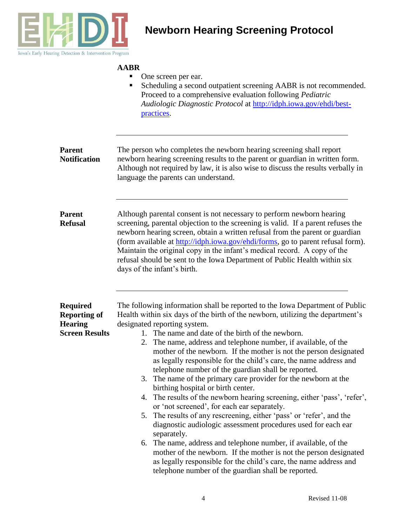

#### **AABR**

- One screen per ear.
- Scheduling a second outpatient screening AABR is not recommended. Proceed to a comprehensive evaluation following *Pediatric Audiologic Diagnostic Protocol* at [http://idph.iowa.gov/ehdi/best](http://idph.iowa.gov/ehdi/best-practices)[practices.](http://idph.iowa.gov/ehdi/best-practices)

| <b>Parent</b><br><b>Notification</b> | The person who completes the newborn hearing screening shall report<br>newborn hearing screening results to the parent or guardian in written form.<br>Although not required by law, it is also wise to discuss the results verbally in<br>language the parents can understand.                                                                                                                                                                                                                                      |
|--------------------------------------|----------------------------------------------------------------------------------------------------------------------------------------------------------------------------------------------------------------------------------------------------------------------------------------------------------------------------------------------------------------------------------------------------------------------------------------------------------------------------------------------------------------------|
| <b>Parent</b><br><b>Refusal</b>      | Although parental consent is not necessary to perform newborn hearing<br>screening, parental objection to the screening is valid. If a parent refuses the<br>newborn hearing screen, obtain a written refusal from the parent or guardian<br>(form available at http://idph.iowa.gov/ehdi/forms, go to parent refusal form).<br>Maintain the original copy in the infant's medical record. A copy of the<br>refusal should be sent to the Iowa Department of Public Health within six<br>days of the infant's birth. |
|                                      |                                                                                                                                                                                                                                                                                                                                                                                                                                                                                                                      |
| <b>Required</b>                      | The following information shall be reported to the Iowa Department of Public                                                                                                                                                                                                                                                                                                                                                                                                                                         |
| <b>Reporting of</b>                  | Health within six days of the birth of the newborn, utilizing the department's                                                                                                                                                                                                                                                                                                                                                                                                                                       |
| <b>Hearing</b>                       | designated reporting system.                                                                                                                                                                                                                                                                                                                                                                                                                                                                                         |
| <b>Screen Results</b>                | 1. The name and date of the birth of the newborn.                                                                                                                                                                                                                                                                                                                                                                                                                                                                    |
|                                      | 2. The name, address and telephone number, if available, of the<br>mother of the newborn. If the mother is not the person designated<br>as legally responsible for the child's care, the name address and<br>telephone number of the guardian shall be reported.                                                                                                                                                                                                                                                     |
|                                      | 3. The name of the primary care provider for the newborn at the<br>birthing hospital or birth center.                                                                                                                                                                                                                                                                                                                                                                                                                |
|                                      | 4. The results of the newborn hearing screening, either 'pass', 'refer',<br>or 'not screened', for each ear separately.                                                                                                                                                                                                                                                                                                                                                                                              |
|                                      | 5. The results of any rescreening, either 'pass' or 'refer', and the<br>diagnostic audiologic assessment procedures used for each ear<br>separately.                                                                                                                                                                                                                                                                                                                                                                 |
|                                      | 6. The name, address and telephone number, if available, of the<br>mother of the newborn. If the mother is not the person designated<br>as legally responsible for the child's care, the name address and<br>telephone number of the guardian shall be reported.                                                                                                                                                                                                                                                     |